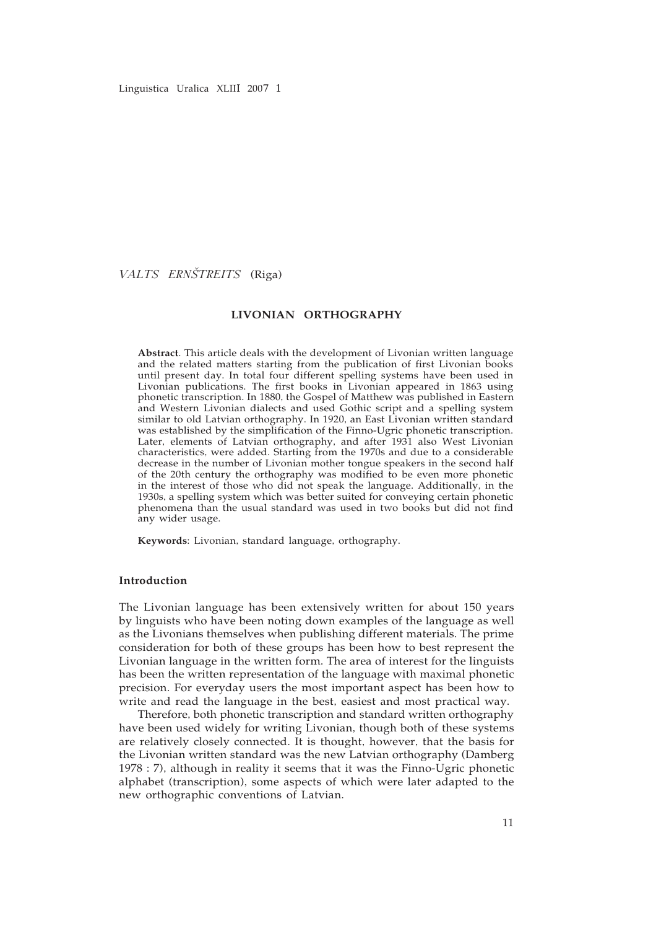Linguistica Uralica XLIII 2007 1

*VALTS ERNÇSTREITS* (Riga)

#### **LIVONIAN ORTHOGRAPHY**

**Abstract**. This article deals with the development of Livonian written language and the related matters starting from the publication of first Livonian books until present day. In total four different spelling systems have been used in Livonian publications. The first books in Livonian appeared in 1863 using phonetic transcription. In 1880, the Gospel of Matthew was published in Eastern and Western Livonian dialects and used Gothic script and a spelling system similar to old Latvian orthography. In 1920, an East Livonian written standard was established by the simplification of the Finno-Ugric phonetic transcription. Later, elements of Latvian orthography, and after 1931 also West Livonian characteristics, were added. Starting from the 1970s and due to a considerable decrease in the number of Livonian mother tongue speakers in the second half of the 20th century the orthography was modified to be even more phonetic in the interest of those who did not speak the language. Additionally, in the 1930s, a spelling system which was better suited for conveying certain phonetic phenomena than the usual standard was used in two books but did not find any wider usage.

**Keywords**: Livonian, standard language, orthography.

# **Introduction**

The Livonian language has been extensively written for about 150 years by linguists who have been noting down examples of the language as well as the Livonians themselves when publishing different materials. The prime consideration for both of these groups has been how to best represent the Livonian language in the written form. The area of interest for the linguists has been the written representation of the language with maximal phonetic precision. For everyday users the most important aspect has been how to write and read the language in the best, easiest and most practical way.

Therefore, both phonetic transcription and standard written orthography have been used widely for writing Livonian, though both of these systems are relatively closely connected. It is thought, however, that the basis for the Livonian written standard was the new Latvian orthography (Damberg 1978 : 7), although in reality it seems that it was the Finno-Ugric phonetic alphabet (transcription), some aspects of which were later adapted to the new orthographic conventions of Latvian.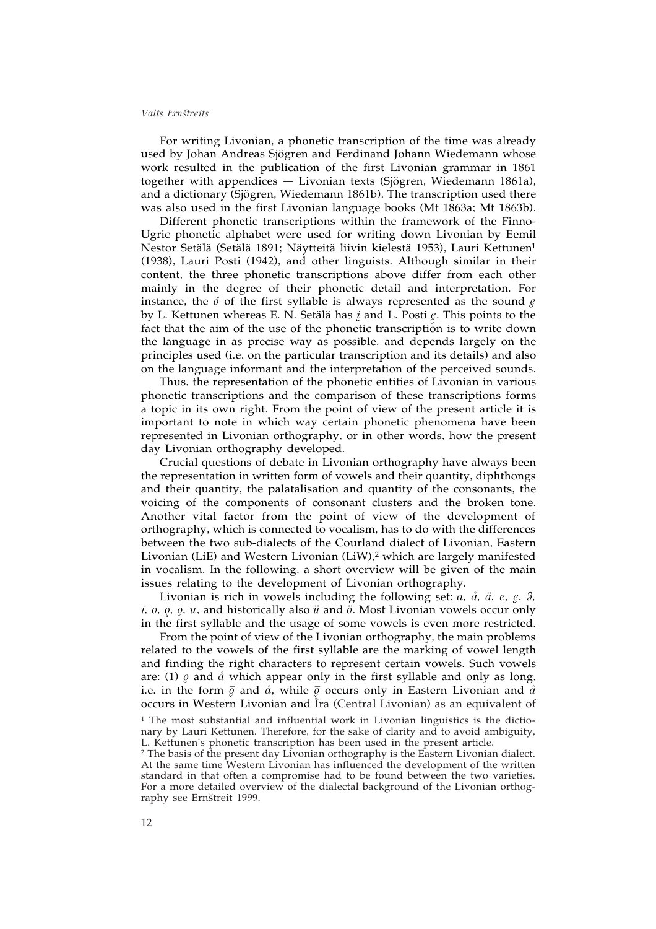For writing Livonian, a phonetic transcription of the time was already used by Johan Andreas Sjögren and Ferdinand Johann Wiedemann whose work resulted in the publication of the first Livonian grammar in 1861 together with appendices — Livonian texts (Sjögren, Wiedemann 1861a), and a dictionary (Sjögren, Wiedemann 1861b). The transcription used there was also used in the first Livonian language books (Mt 1863a; Mt 1863b).

Different phonetic transcriptions within the framework of the Finno-Ugric phonetic alphabet were used for writing down Livonian by Eemil Nestor Setälä (Setälä 1891; Näytteitä liivin kielestä 1953), Lauri Kettunen1 (1938), Lauri Posti (1942), and other linguists. Although similar in their content, the three phonetic transcriptions above differ from each other mainly in the degree of their phonetic detail and interpretation. For instance, the  $\tilde{o}$  of the first syllable is always represented as the sound  $\rho$ by L. Kettunen whereas E. N. Setälä has *į* and L. Posti  $g$ . This points to the *≠* fact that the aim of the use of the phonetic transcription is to write down the language in as precise way as possible, and depends largely on the principles used (i.e. on the particular transcription and its details) and also on the language informant and the interpretation of the perceived sounds.

Thus, the representation of the phonetic entities of Livonian in various phonetic transcriptions and the comparison of these transcriptions forms a topic in its own right. From the point of view of the present article it is important to note in which way certain phonetic phenomena have been represented in Livonian orthography, or in other words, how the present day Livonian orthography developed.

Crucial questions of debate in Livonian orthography have always been the representation in written form of vowels and their quantity, diphthongs and their quantity, the palatalisation and quantity of the consonants, the voicing of the components of consonant clusters and the broken tone. Another vital factor from the point of view of the development of orthography, which is connected to vocalism, has to do with the differences between the two sub-dialects of the Courland dialect of Livonian, Eastern Livonian (LiE) and Western Livonian (LiW),<sup>2</sup> which are largely manifested in vocalism. In the following, a short overview will be given of the main issues relating to the development of Livonian orthography.

Livonian is rich in vowels including the following set:  $a$ ,  $\dot{a}$ ,  $\ddot{a}$ ,  $e$ ,  $e$ ,  $\dot{a}$ ,  $\ddot{a}$ ,  $e$ ,  $\ddot{e}$ ,  $\ddot{e}$ ,  $\ddot{e}$ ,  $\ddot{e}$ ,  $\ddot{e}$ ,  $\ddot{e}$ ,  $\ddot{e}$ ,  $\ddot{e}$ ,  $\ddot{e}$ ,  $\ddot{e}$ ,  $\ddot{e}$ *i, o, o, u, and historically also <i>ü* and  $\ddot{o}$ . Most Livonian vowels occur only in the first syllable and the usage of some vowels is even more restricted.

From the point of view of the Livonian orthography, the main problems related to the vowels of the first syllable are the marking of vowel length and finding the right characters to represent certain vowels. Such vowels are: (1)  $\varrho$  and  $\vartheta$  which appear only in the first syllable and only as long, i.e. in the form  $\bar{\varrho}$  and  $\bar{\vec{a}}$ , while  $\bar{\varrho}$  occurs only in Eastern Livonian and  $\bar{\vec{a}}$ occurs in Western Livonian and Ira (Central Livonian) as an equivalent of

<sup>&</sup>lt;sup>1</sup> The most substantial and influential work in Livonian linguistics is the dictionary by Lauri Kettunen. Therefore, for the sake of clarity and to avoid ambiguity, L. Kettunen's phonetic transcription has been used in the present article.

<sup>2</sup> The basis of the present day Livonian orthography is the Eastern Livonian dialect. At the same time Western Livonian has influenced the development of the written standard in that often a compromise had to be found between the two varieties. For a more detailed overview of the dialectal background of the Livonian orthography see Ernštreit 1999.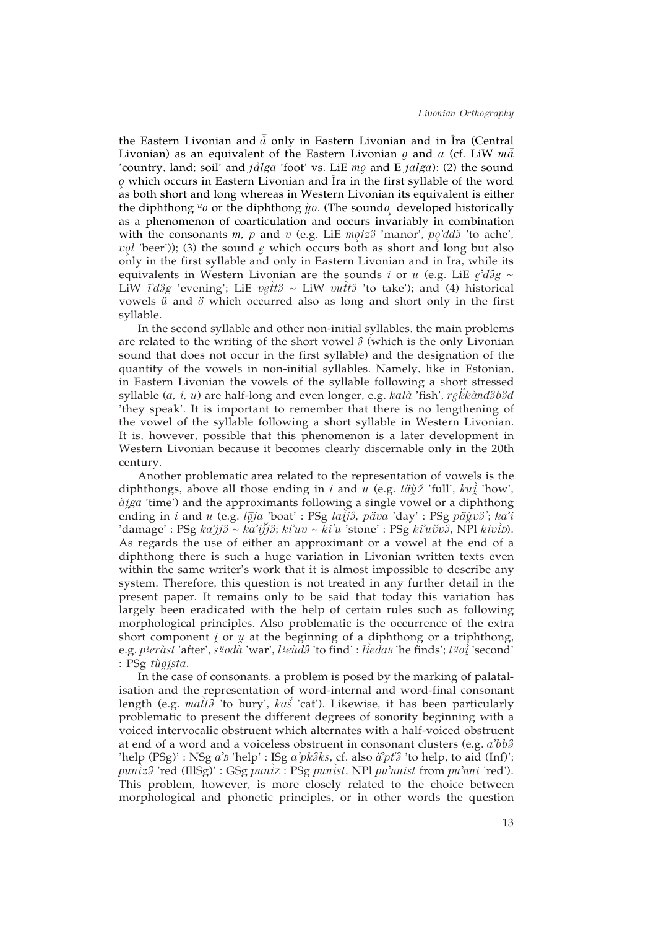the Eastern Livonian and  $\tilde{a}$  only in Eastern Livonian and in Īra (Central Livonian) as an equivalent of the Eastern Livonian  $\bar{\varrho}$  and  $\bar{a}$  (cf. LiW  $m\bar{\tilde{a}}$ 'country, land; soil' and  $j\bar{a}lga$  'foot' vs. LiE  $m\bar{g}$  and E  $j\bar{a}lga$ ); (2) the sound *≥o* which occurs in Eastern Livonian and ª Ira in the first syllable of the word as both short and long whereas in Western Livonian its equivalent is either the diphthong <sup>*u*</sup>o or the diphthong  $\dot{\mu}$ o. (The soundo developed historically as a phenomenon of coarticulation and occurs invariably in combination with the consonants  $m$ ,  $p$  and  $v$  (e.g. LiE  $m\text{o}iz\text{o}$  'manor',  $p\text{o}^2d\text{d}\text{o}$  'to ache', *vol* 'beer')); (3) the sound  $\ell$  which occurs both as short and long but also only in the first syllable and only in Eastern Livonian and in Ira, while its equivalents in Western Livonian are the sounds *i* or *u* (e.g. LiE  $\vec{e}^{\prime}d\hat{g}g \sim$ LiW *ī'd3g 'evening'*; LiE *vgtt3* ∼ LiW *vutt3 't*o take'); and (4) historical vowels *ü* and *ö* which occurred also as long and short only in the first syllable.

In the second syllable and other non-initial syllables, the main problems are related to the writing of the short vowel  $\hat{a}$  (which is the only Livonian sound that does not occur in the first syllable) and the designation of the quantity of the vowels in non-initial syllables. Namely, like in Estonian, in Eastern Livonian the vowels of the syllable following a short stressed syllable (*a, i, u*) are half-long and even longer, e.g. *kal^a* 'fish', *r≠e∑ kk^and»˝b»˝d* 'they speak'. It is important to remember that there is no lengthening of the vowel of the syllable following a short syllable in Western Livonian. It is, however, possible that this phenomenon is a later development in Western Livonian because it becomes clearly discernable only in the 20th century.

Another problematic area related to the representation of vowels is the diphthongs, above all those ending in *i* and *u* (e.g.  $t\ddot{a}\dot{y}\ddot{z}$  'full',  $ku\ddot{j}$  'how', *^ ^a˚iga* 'time') and the approximants following a single vowel or a diphthong ending in *i* and *u* (e.g. *l*<sub>0</sub>*ja* 'boat' : PSg *laij3*, *pava* 'day' : PSg *päriv3*'; *ka*<sup>7</sup>*i*</sub> 'damage' : PSg *ka•jj»˝* ~ *ka•i∑ jj»˝*; *ki•uv* ~ *ki'u* 'stone' : PSg *ki•u∑vv»˝*, NPl *kiv^ iD*). As regards the use of either an approximant or a vowel at the end of a diphthong there is such a huge variation in Livonian written texts even within the same writer's work that it is almost impossible to describe any system. Therefore, this question is not treated in any further detail in the present paper. It remains only to be said that today this variation has largely been eradicated with the help of certain rules such as following morphological principles. Also problematic is the occurrence of the extra short component  *or*  $*u*$  *at the beginning of a diphthong or a triphthong,* e.g. *p˚i er^ast* 'after', *s˚uod^a* 'war', *l ˚i e^ud»˝* 'to find' : *l^ iedaB* 'he finds'; *t˚uo˚^ i* 'second' : PSg *t^u˚o˚ista*.

In the case of consonants, a problem is posed by the marking of palatalisation and the representation of word-internal and word-final consonant length (e.g.  $\textit{matit}\hat{\mathbf{\hat{i}}}$  'to bury',  $\textit{ka}\bar{\check{s}}$  'cat'). Likewise, it has been particularly *ª* problematic to present the different degrees of sonority beginning with a voiced intervocalic obstruent which alternates with a half-voiced obstruent at end of a word and a voiceless obstruent in consonant clusters (e.g. *a•bb»˝* 'help (PSg)' : NSg *a'B* 'help' : ISg *a'pk* $\delta$ *ks*, cf. also  $\ddot{a}'$ *pt'* $\delta$ ' to help, to aid (Inf)'; *pun^ iz»˝* 'red (IllSg)' : GSg *pun^ iZ* : PSg *pun^ ist*, NPl *pu•nnist* from *pu•nni* 'red'). This problem, however, is more closely related to the choice between morphological and phonetic principles, or in other words the question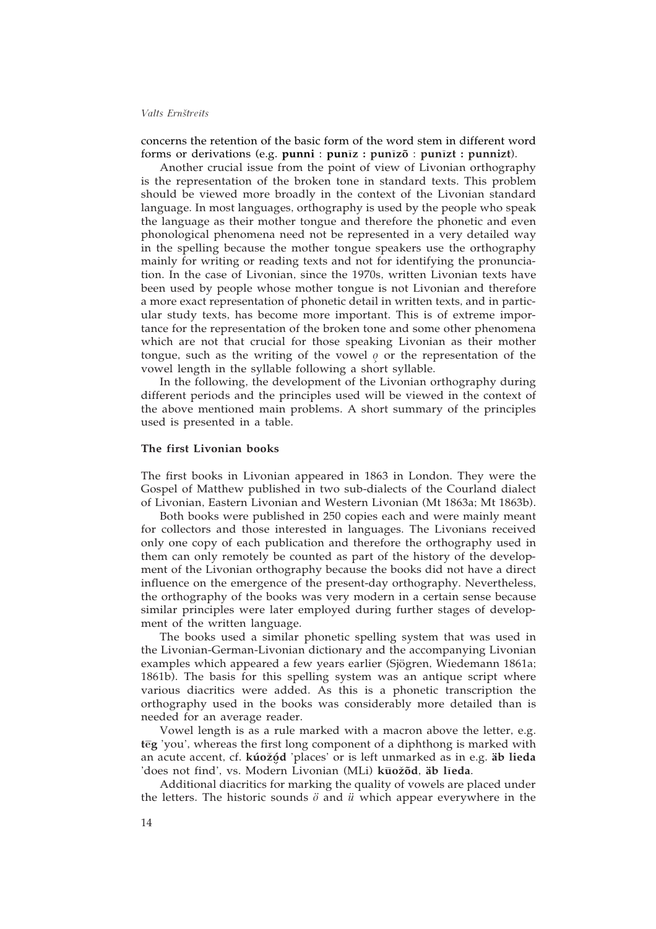concerns the retention of the basic form of the word stem in different word forms or derivations (e.g. punni : punīz : punīzõ : punīzt : punnizt).

Another crucial issue from the point of view of Livonian orthography is the representation of the broken tone in standard texts. This problem should be viewed more broadly in the context of the Livonian standard language. In most languages, orthography is used by the people who speak the language as their mother tongue and therefore the phonetic and even phonological phenomena need not be represented in a very detailed way in the spelling because the mother tongue speakers use the orthography mainly for writing or reading texts and not for identifying the pronunciation. In the case of Livonian, since the 1970s, written Livonian texts have been used by people whose mother tongue is not Livonian and therefore a more exact representation of phonetic detail in written texts, and in particular study texts, has become more important. This is of extreme importance for the representation of the broken tone and some other phenomena which are not that crucial for those speaking Livonian as their mother tongue, such as the writing of the vowel  $\rho$  or the representation of the vowel length in the syllable following a short syllable.

In the following, the development of the Livonian orthography during different periods and the principles used will be viewed in the context of the above mentioned main problems. A short summary of the principles used is presented in a table.

### **The first Livonian books**

The first books in Livonian appeared in 1863 in London. They were the Gospel of Matthew published in two sub-dialects of the Courland dialect of Livonian, Eastern Livonian and Western Livonian (Mt 1863a; Mt 1863b).

Both books were published in 250 copies each and were mainly meant for collectors and those interested in languages. The Livonians received only one copy of each publication and therefore the orthography used in them can only remotely be counted as part of the history of the development of the Livonian orthography because the books did not have a direct influence on the emergence of the present-day orthography. Nevertheless, the orthography of the books was very modern in a certain sense because similar principles were later employed during further stages of development of the written language.

The books used a similar phonetic spelling system that was used in the Livonian-German-Livonian dictionary and the accompanying Livonian examples which appeared a few years earlier (Sjögren, Wiedemann 1861a; 1861b). The basis for this spelling system was an antique script where various diacritics were added. As this is a phonetic transcription the orthography used in the books was considerably more detailed than is needed for an average reader.

Vowel length is as a rule marked with a macron above the letter, e.g. **teg** 'you', whereas the first long component of a diphthong is marked with an acute accent, cf. **kúoçz ód**· 'places' or is left unmarked as in e.g. **äb lieda** ¥ 'does not find', vs. Modern Livonian (MLi) kuožõd, äb lieda.

Additional diacritics for marking the quality of vowels are placed under the letters. The historic sounds *ö* and *ü* which appear everywhere in the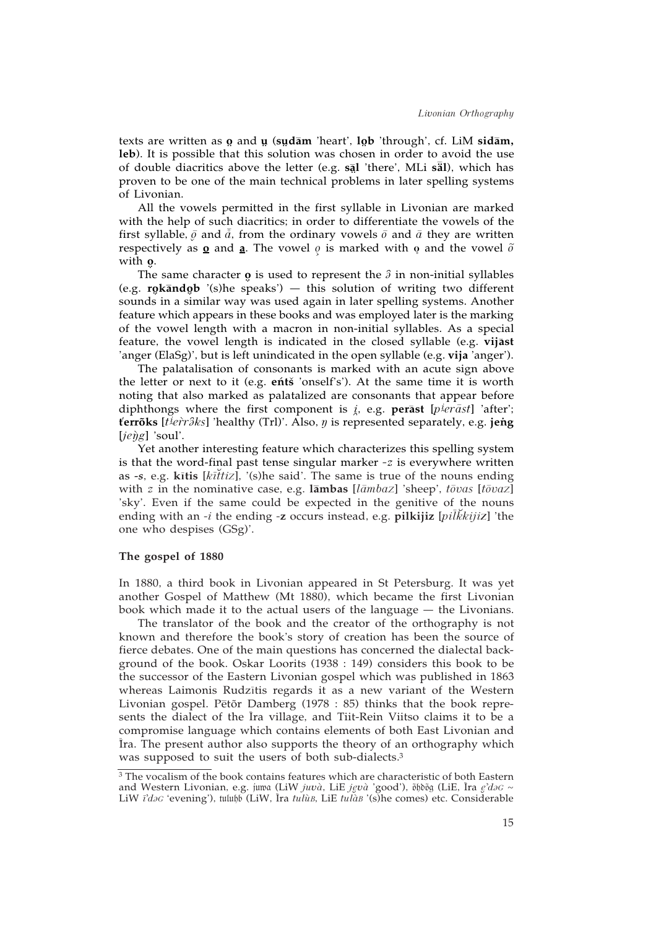texts are written as **o** and **µ** (s**udam** 'heart', lob 'through', cf. LiM sidam,<br>lob) It is possible that this solution was shosen in order to avoid the use ¥ ¥ **leb**). It is possible that this solution was chosen in order to avoid the use of double diacritics above the letter (e.g. **s <sup>º</sup>al** 'there', MLi **s<sup>º</sup> äl**), which has ¥ proven to be one of the main technical problems in later spelling systems of Livonian.

All the vowels permitted in the first syllable in Livonian are marked with the help of such diacritics; in order to differentiate the vowels of the first syllable,  $\bar{\varrho}$  and  $\bar{\tilde{a}}$ , from the ordinary vowels  $\bar{o}$  and  $\bar{a}$  they are written respectively as  $\Omega$  and  $\Omega$ . The vowel  $\rho$  is marked with  $\Omega$  and the vowel  $\tilde{\rho}$ with **o**.<br>مما

The same character  $\boldsymbol{\varphi}$  is used to represent the  $\hat{\beta}$  in non-initial syllables<br>**releaded** *'*(c)be speaks') this solution of writing two different (e.g. **rokāndob** '(s)he speaks') — this solution of writing two different counds in a similar way was used again in later spelling systems. Another ¥ sounds in a similar way was used again in later spelling systems. Another feature which appears in these books and was employed later is the marking of the vowel length with a macron in non-initial syllables. As a special feature, the vowel length is indicated in the closed syllable (e.g. **vijāst** 'anger (ElaSg)', but is left unindicated in the open syllable (e.g. **vija** 'anger').

The palatalisation of consonants is marked with an acute sign above the letter or next to it (e.g. **ents** 'onself's'). At the same time it is worth noting that also marked as palatalized are consonants that appear before diphthongs where the first component is  $i$ , e.g. perast [p<sup>*ierast*] 'after';</sup> **tÍerrõks** [*t˚i e^rr»˝ks*] 'healthy (Trl)'. Also, *ñ* is represented separately, e.g. **je"ng** [*je^ñg*] 'soul'.

Yet another interesting feature which characterizes this spelling system is that the word-final past tense singular marker *-z* is everywhere written as -s, e.g. kitis [kittiz], '(s)he said'. The same is true of the nouns ending with *z* in the nominative case, e.g.  $\overline{\lambda}$  **lambas** [*lambaz*] 'sheep', *tovas* [*tovaz*] 'sky'. Even if the same could be expected in the genitive of the nouns ending with an *-i* the ending *-***z** occurs instead, e.g. **pilkijiz** [*piª l∑ kkijiZ*] 'the one who despises (GSg)'.

### **The gospel of 1880**

In 1880, a third book in Livonian appeared in St Petersburg. It was yet another Gospel of Matthew (Mt 1880), which became the first Livonian book which made it to the actual users of the language — the Livonians.

The translator of the book and the creator of the orthography is not known and therefore the book's story of creation has been the source of fierce debates. One of the main questions has concerned the dialectal background of the book. Oskar Loorits (1938 : 149) considers this book to be the successor of the Eastern Livonian gospel which was published in 1863 whereas Laimonis Rudzītis regards it as a new variant of the Western Livonian gospel. Pētõr Damberg (1978 : 85) thinks that the book represents the dialect of the Ira village, and Tiit-Rein Viitso claims it to be a compromise language which contains elements of both East Livonian and ª ª Ira. The present author also supports the theory of an orthography which was supposed to suit the users of both sub-dialects.3

<sup>&</sup>lt;sup>3</sup> The vocalism of the book contains features which are characteristic of both Eastern and Western Livonian, e.g. juwa (LiW *juvà*, LiE *jęvà '*good'), õhdõg (LiE, Īra *ę'daG* ~ LiW *i'daG* 'evening'), tulubb (LiW, Ira *tulùB*, LiE *tulàB* '(s)he comes) etc. Considerable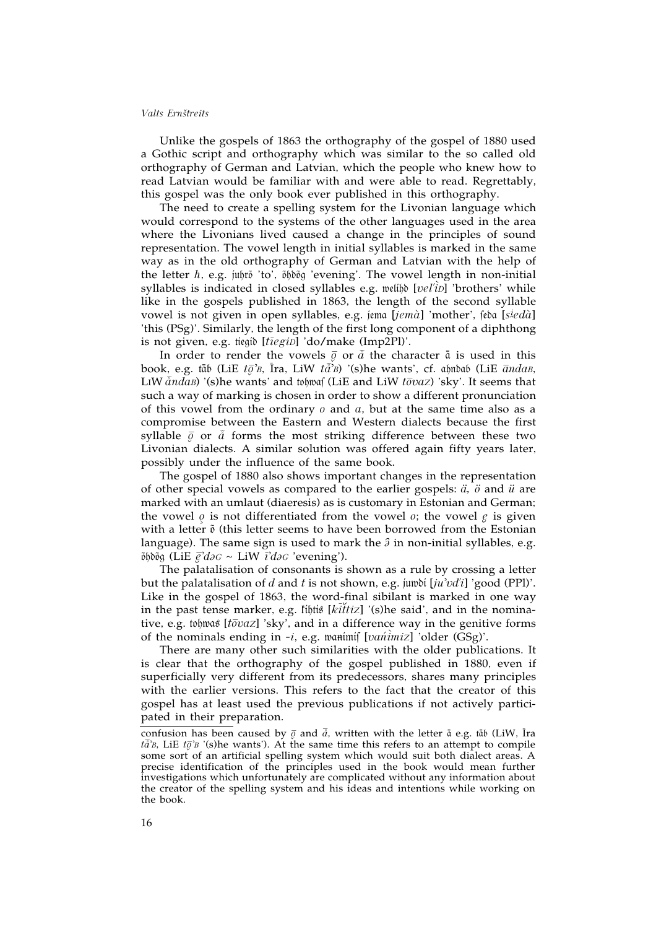Unlike the gospels of 1863 the orthography of the gospel of 1880 used a Gothic script and orthography which was similar to the so called old orthography of German and Latvian, which the people who knew how to read Latvian would be familiar with and were able to read. Regrettably, this gospel was the only book ever published in this orthography.

The need to create a spelling system for the Livonian language which would correspond to the systems of the other languages used in the area where the Livonians lived caused a change in the principles of sound representation. The vowel length in initial syllables is marked in the same way as in the old orthography of German and Latvian with the help of the letter *h*, e.g. juhrõ 'to', õhdõg 'evening'. The vowel length in non-initial syllables is indicated in closed syllables e.g. welibb [vel'iv] 'brothers' while like in the gospels published in 1863, the length of the second syllable vowel is not given in open syllables, e.g. jema [jemà] 'mother', feba [s<sup>ieda]</sup> 'this (PSg)'. Similarly, the length of the first long component of a diphthong is not given, e.g. tiegid [*tiegiD*] 'do/make (Imp2Pl)'.

In order to render the vowels  $\bar{g}$  or  $\bar{a}$  the character  $\bar{a}$  is used in this book, e.g. tāb (LiE *tō̄'B*, Īra, LiW *tā̄'B*) '(s)he wants', cf. aḫnðab (LiE  $\bar{a}nda$ *B*, LIW  $\bar{a}ndab$  '(s)he wants' and tohwas (LiE and LiW  $t\bar{\sigma}vaz$ ) 'sky'. It seems that such a way of marking is chosen in order to show a different pronunciation of this vowel from the ordinary *o* and *a*, but at the same time also as a compromise between the Eastern and Western dialects because the first syllable  $\bar{g}$  or  $\tilde{d}$  forms the most striking difference between these two Livonian dialects. A similar solution was offered again fifty years later, possibly under the influence of the same book.

The gospel of 1880 also shows important changes in the representation of other special vowels as compared to the earlier gospels: *ä, ö* and *ü* are marked with an umlaut (diaeresis) as is customary in Estonian and German; the vowel  $\varrho$  is not differentiated from the vowel  $\varrho$ ; the vowel  $\varrho$  is given with a letter õ (this letter seems to have been borrowed from the Estonian language). The same sign is used to mark the  $\hat{a}$  in non-initial syllables, e.g.  $\tilde{\rho}$ δ $\tilde{\rho}$ δοξα (LiE  $\vec{e}$ 'd $\partial G \sim$  LiW  $\vec{\iota}$ 'd $\partial G$ 'evening').

The palatalisation of consonants is shown as a rule by crossing a letter but the palatalisation of *d* and *t* is not shown, e.g. jumbi  $[iu'vd']$  'good (PPI)'. Like in the gospel of 1863, the word-final sibilant is marked in one way in the past tense marker, e.g. *fihtis* [ $k\bar{i}$ *ttiz*] '(s)he said', and in the nominative, e.g. tohwas [ $t\bar{\sigma}vaz$ ] 'sky', and in a difference way in the genitive forms of the nominals ending in -i, e.g. wanimif [vanimiz] 'older (GSg)'.

There are many other such similarities with the older publications. It is clear that the orthography of the gospel published in 1880, even if superficially very different from its predecessors, shares many principles with the earlier versions. This refers to the fact that the creator of this gospel has at least used the previous publications if not actively participated in their preparation.

confusion has been caused by  $\bar{\varrho}$  and  $\bar{\varrho}$ , written with the letter  $\bar{\mathfrak{a}}$  e.g. tāb (LiW, Ira  $t\bar{a}$ <sup>2</sup>B, LiE  $t\bar{\varrho}$ <sup>2</sup>B '(s)he wants'). At the same time this refers to an attempt to compile some sort of an artificial spelling system which would suit both dialect areas. A precise identification of the principles used in the book would mean further investigations which unfortunately are complicated without any information about the creator of the spelling system and his ideas and intentions while working on the book.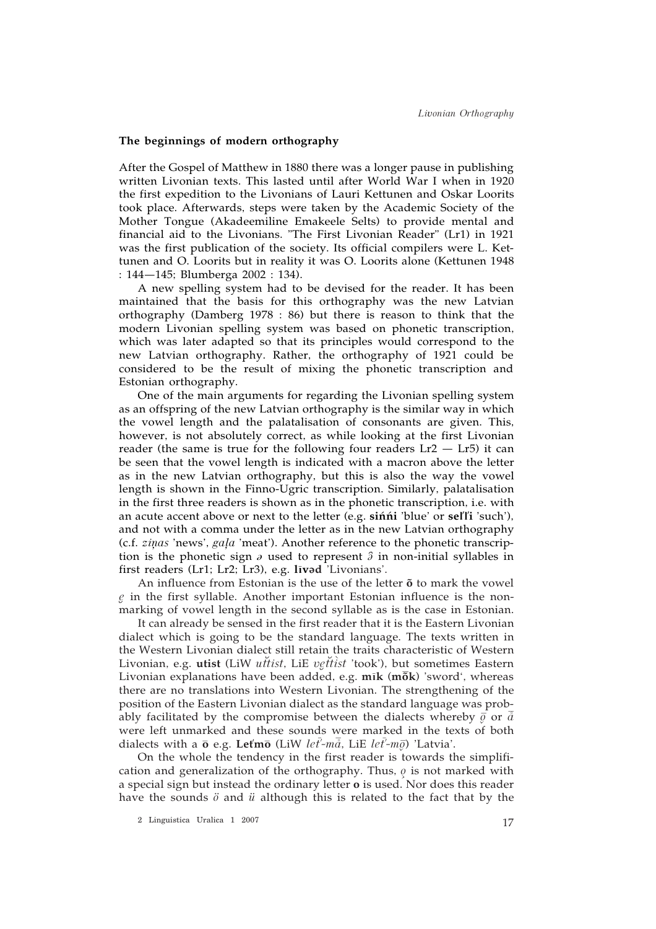## **The beginnings of modern orthography**

After the Gospel of Matthew in 1880 there was a longer pause in publishing written Livonian texts. This lasted until after World War I when in 1920 the first expedition to the Livonians of Lauri Kettunen and Oskar Loorits took place. Afterwards, steps were taken by the Academic Society of the Mother Tongue (Akadeemiline Emakeele Selts) to provide mental and financial aid to the Livonians. "The First Livonian Reader" (Lr1) in 1921 was the first publication of the society. Its official compilers were L. Kettunen and O. Loorits but in reality it was O. Loorits alone (Kettunen 1948 : 144—145; Blumberga 2002 : 134).

A new spelling system had to be devised for the reader. It has been maintained that the basis for this orthography was the new Latvian orthography (Damberg 1978 : 86) but there is reason to think that the modern Livonian spelling system was based on phonetic transcription, which was later adapted so that its principles would correspond to the new Latvian orthography. Rather, the orthography of 1921 could be considered to be the result of mixing the phonetic transcription and Estonian orthography.

One of the main arguments for regarding the Livonian spelling system as an offspring of the new Latvian orthography is the similar way in which the vowel length and the palatalisation of consonants are given. This, however, is not absolutely correct, as while looking at the first Livonian reader (the same is true for the following four readers  $Lr2 - Lr5$ ) it can be seen that the vowel length is indicated with a macron above the letter as in the new Latvian orthography, but this is also the way the vowel length is shown in the Finno-Ugric transcription. Similarly, palatalisation in the first three readers is shown as in the phonetic transcription, i.e. with an acute accent above or next to the letter (e.g. **siÉnÉni** 'blue' or **selÍlÍi** 'such'), and not with a comma under the letter as in the new Latvian orthography (c.f. *zinas* 'news', *gala* 'meat'). Another reference to the phonetic transcription is the phonetic sign  $\partial$  used to represent  $\partial$  in non-initial syllables in first readers (Lr1; Lr2; Lr3), e.g. livad 'Livonians'.

An influence from Estonian is the use of the letter **õ** to mark the vowel *≠e* in the first syllable. Another important Estonian influence is the nonmarking of vowel length in the second syllable as is the case in Estonian.

It can already be sensed in the first reader that it is the Eastern Livonian dialect which is going to be the standard language. The texts written in the Western Livonian dialect still retain the traits characteristic of Western Livonian, e.g. utist (LiW *uttist*, LiE *vgtttist* 'took'), but sometimes Eastern Livonian explanations have been added, e.g. m**ik** (mok) 'sword', whereas there are no translations into Western Livonian. The strengthening of the position of the Eastern Livonian dialect as the standard language was probably facilitated by the compromise between the dialects whereby  $\bar{\vec{g}}$  or  $\bar{\vec{a}}$ were left unmarked and these sounds were marked in the texts of both dialects with a º**o** e.g. **LetÍm**º**o** (LiW *le ª tÍ-mº å*, LiE *le ª tÍ-m¶ºo*) 'Latvia'.

On the whole the tendency in the first reader is towards the simplification and generalization of the orthography. Thus,  $\rho$  is not marked with a special sign but instead the ordinary letter **o** is used. Nor does this reader have the sounds *ö* and *ü* although this is related to the fact that by the

<sup>17</sup> 2 Linguistica Uralica 1 2007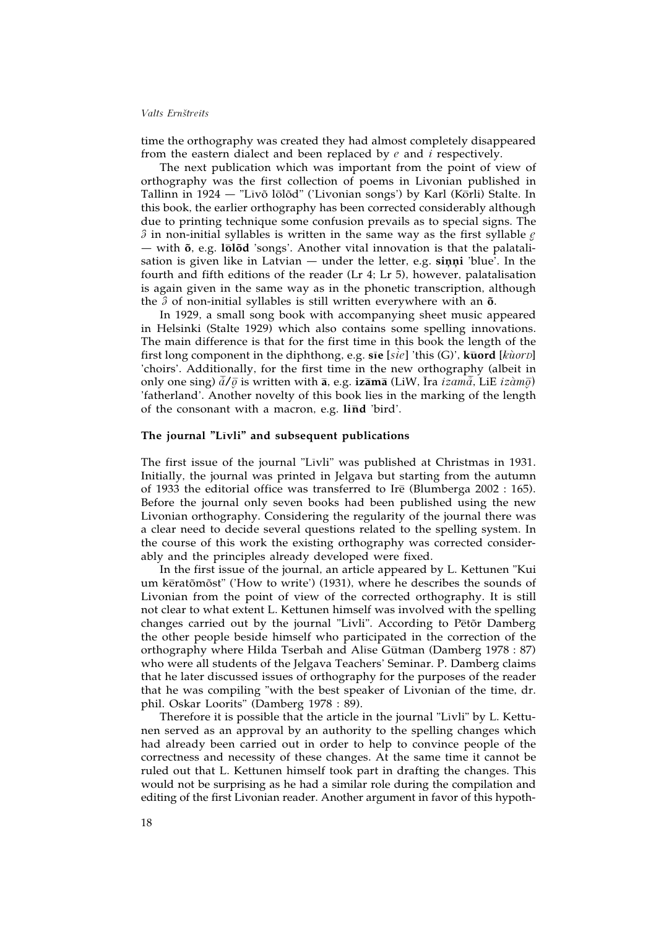time the orthography was created they had almost completely disappeared from the eastern dialect and been replaced by *e* and *i* respectively.

The next publication which was important from the point of view of orthography was the first collection of poems in Livonian published in Tallinn in 1924 — "Līvõ lōlõd" ('Livonian songs') by Karl (Kōrli) Stalte. In this book, the earlier orthography has been corrected considerably although due to printing technique some confusion prevails as to special signs. The *3* in non-initial syllables is written in the same way as the first syllable *e* — with  $\tilde{o}$ , e.g.  $l\bar{o}l\tilde{o}d$  'songs'. Another vital innovation is that the palatalisation is given like in Latvian  $-$  under the letter, e.g. sinni 'blue'. In the fourth and fifth editions of the reader (Lr 4; Lr 5), however, palatalisation is again given in the same way as in the phonetic transcription, although the  $\hat{\sigma}$  of non-initial syllables is still written everywhere with an  $\tilde{\sigma}$ .

In 1929, a small song book with accompanying sheet music appeared in Helsinki (Stalte 1929) which also contains some spelling innovations. The main difference is that for the first time in this book the length of the  $i$  first long component in the diphthong, e.g.  $\bar{\mathbf{s}}$  **ie** [*sie*] 'this (G)',  $\bar{\mathbf{k}}$ word [ $k\hat{u}$ or $D$ ] 'choirs'. Additionally, for the first time in the new orthography (albeit in  $\phi$ only one sing)  $\bar{\tilde{a}}/\bar{\varrho}$  is written with **ā**, e.g. **izāmā** (LiW, Īra *izamā̄*, LiE *izàm* $\bar{\varrho}$ ) 'fatherland'. Another novelty of this book lies in the marking of the length of the consonant with a macron, e.g. lind 'bird'.

### **The journal "Lªıvli" and subsequent publications**

The first issue of the journal "Līvli" was published at Christmas in 1931. Initially, the journal was printed in Jelgava but starting from the autumn of 1933 the editorial office was transferred to Ire (Blumberga 2002 : 165). Before the journal only seven books had been published using the new Livonian orthography. Considering the regularity of the journal there was a clear need to decide several questions related to the spelling system. In the course of this work the existing orthography was corrected considerably and the principles already developed were fixed.

In the first issue of the journal, an article appeared by L. Kettunen "Kui um kēratõmõst" ('How to write') (1931), where he describes the sounds of Livonian from the point of view of the corrected orthography. It is still not clear to what extent L. Kettunen himself was involved with the spelling changes carried out by the journal "Livli". According to Petor Damberg the other people beside himself who participated in the correction of the orthography where Hilda Tserbah and Alīse Gūtman (Damberg 1978 : 87) who were all students of the Jelgava Teachers' Seminar. P. Damberg claims that he later discussed issues of orthography for the purposes of the reader that he was compiling "with the best speaker of Livonian of the time, dr. phil. Oskar Loorits" (Damberg 1978 : 89).

Therefore it is possible that the article in the journal "Līvli" by L. Kettunen served as an approval by an authority to the spelling changes which had already been carried out in order to help to convince people of the correctness and necessity of these changes. At the same time it cannot be ruled out that L. Kettunen himself took part in drafting the changes. This would not be surprising as he had a similar role during the compilation and editing of the first Livonian reader. Another argument in favor of this hypoth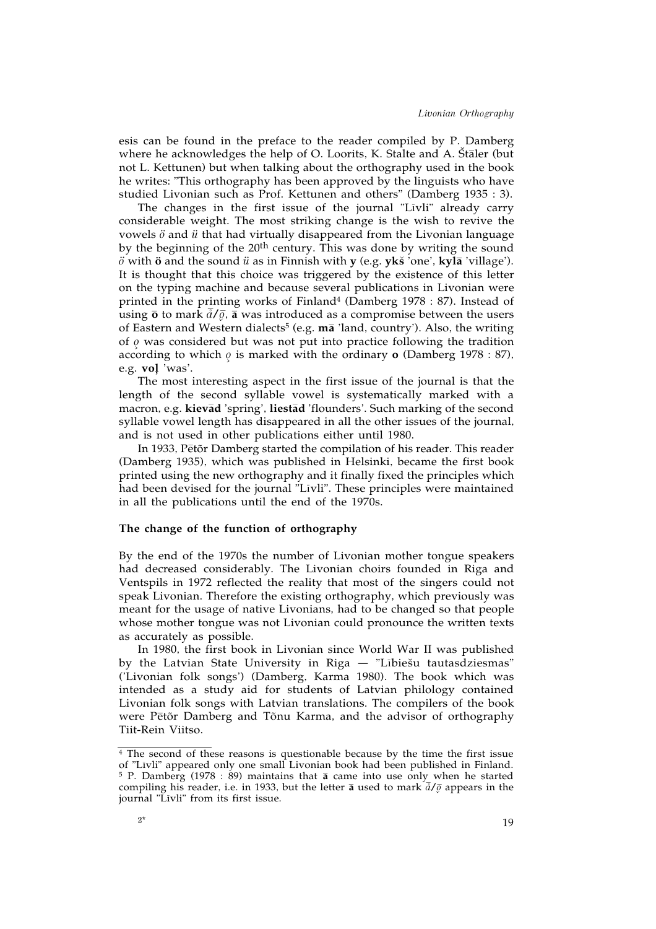esis can be found in the preface to the reader compiled by P. Damberg where he acknowledges the help of O. Loorits, K. Stalte and A. Staler (but not L. Kettunen) but when talking about the orthography used in the book he writes: "This orthography has been approved by the linguists who have studied Livonian such as Prof. Kettunen and others" (Damberg 1935 : 3).

The changes in the first issue of the journal "Līvli" already carry considerable weight. The most striking change is the wish to revive the vowels *ö* and *ü* that had virtually disappeared from the Livonian language by the beginning of the 20th century. This was done by writing the sound  $\ddot{\theta}$  with  $\ddot{\theta}$  and the sound  $\ddot{u}$  as in Finnish with **y** (e.g. **yks** 'one', **kyla** 'village'). It is thought that this choice was triggered by the existence of this letter on the typing machine and because several publications in Livonian were printed in the printing works of Finland<sup>4</sup> (Damberg 1978 : 87). Instead of using  $\bar{\mathbf{o}}$  to mark  $\bar{d}/\bar{g}$ ,  $\bar{\mathbf{a}}$  was introduced as a compromise between the users of Eastern and Western dialects5 (e.g. **m**º**a** 'land, country'). Also, the writing of *≥o* was considered but was not put into practice following the tradition according to which  $\varrho$  is marked with the ordinary **o** (Damberg 1978 : 87), e.g. **voïl** 'was'.

The most interesting aspect in the first issue of the journal is that the length of the second syllable vowel is systematically marked with a macron, e.g. **kievad** 'spring', liestad 'flounders'. Such marking of the second syllable vowel length has disappeared in all the other issues of the journal, and is not used in other publications either until 1980.

In 1933, Pētõr Damberg started the compilation of his reader. This reader (Damberg 1935), which was published in Helsinki, became the first book printed using the new orthography and it finally fixed the principles which had been devised for the journal "Līvli". These principles were maintained in all the publications until the end of the 1970s.

## **The change of the function of orthography**

By the end of the 1970s the number of Livonian mother tongue speakers had decreased considerably. The Livonian choirs founded in Riga and Ventspils in 1972 reflected the reality that most of the singers could not speak Livonian. Therefore the existing orthography, which previously was meant for the usage of native Livonians, had to be changed so that people whose mother tongue was not Livonian could pronounce the written texts as accurately as possible.

In 1980, the first book in Livonian since World War II was published by the Latvian State University in Riga — "Lībiešu tautasdziesmas" ('Livonian folk songs') (Damberg, Karma 1980). The book which was intended as a study aid for students of Latvian philology contained Livonian folk songs with Latvian translations. The compilers of the book were Pētõr Damberg and Tõnu Karma, and the advisor of orthography Tiit-Rein Viitso.

 $\frac{4}{4}$  The second of these reasons is questionable because by the time the first issue of "Livli" appeared only one small Livonian book had been published in Finland. <sup>5</sup> P. Damberg (1978 : 89) maintains that **a** came into use only when he started compiling his reader, i.e. in 1933, but the letter **a** used to mark  $\frac{3}{4}$  *i* appears in the journal "Līvli" from its first issue.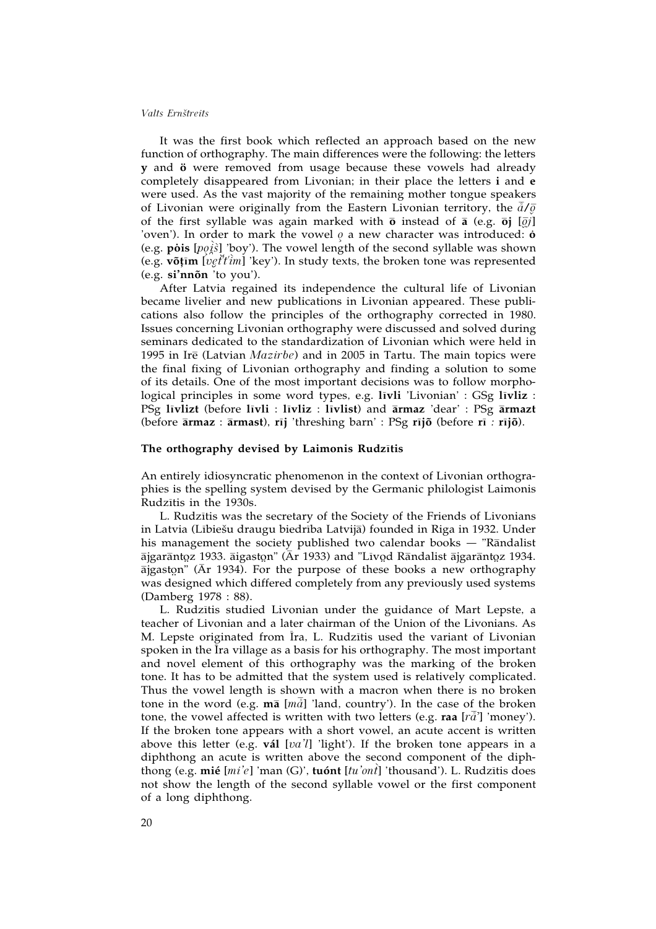It was the first book which reflected an approach based on the new function of orthography. The main differences were the following: the letters **y** and **ö** were removed from usage because these vowels had already completely disappeared from Livonian; in their place the letters **i** and **e** were used. As the vast majority of the remaining mother tongue speakers of Livonian were originally from the Eastern Livonian territory, the  $\bar{d}/\bar{\varrho}$ of the first syllable was again marked with  $\bar{\textbf{o}}$  instead of  $\bar{\textbf{a}}$  (e.g.  $\bar{\textbf{o}}$ **j**  $[\bar{q}j]$ ) 'oven'). In order to mark the vowel  $\rho$  a new character was introduced:  $\dot{\mathbf{o}}$ (e.g. **p"ois** [*p≥o˚ i^s*] 'boy'). The vowel length of the second syllable was shown *^* (e.g. **võïtªım** [*v≠e∑ tÍtÍ^ im*] 'key'). In study texts, the broken tone was represented (e.g. **si'nnõn** 'to you').

After Latvia regained its independence the cultural life of Livonian became livelier and new publications in Livonian appeared. These publications also follow the principles of the orthography corrected in 1980. Issues concerning Livonian orthography were discussed and solved during seminars dedicated to the standardization of Livonian which were held in 1995 in Ire (Latvian *Mazirbe*) and in 2005 in Tartu. The main topics were the final fixing of Livonian orthography and finding a solution to some of its details. One of the most important decisions was to follow morphological principles in some word types, e.g. **lªıvli** 'Livonian' : GSg **lªıvliz** : PSg **lªıvlizt** (before **lªıvli** : **lªıvliz** : **lªıvlist**) and º**armaz** 'dear' : PSg º**armazt** (before  $\bar{a}$ rmaz :  $\bar{a}$ rmast), rīj 'threshing barn' : PSg rījõ (before rī : rījõ).

### The orthography devised by Laimonis Rudzītis

An entirely idiosyncratic phenomenon in the context of Livonian orthographies is the spelling system devised by the Germanic philologist Laimonis Rudzītis in the 1930s.

L. Rudzītis was the secretary of the Society of the Friends of Livonians in Latvia (Lībiešu draugu biedrība Latvijā) founded in Riga in 1932. Under his management the society published two calendar books  $-$  "Randalist" ājgarāntoz 1933. āigaston" (Ār 1933) and "Līvod Rāndalist ājgarāntoz 1934.<br>Āigaston" (Ār 1934), For the nurnese of these books a new orthography ajgaston" (Ar 1934). For the purpose of these books a new orthography vectors of the purpose of these books a new orthography was designed which differed completely from any previously used systems (Damberg 1978 : 88).

L. Rudzītis studied Livonian under the guidance of Mart Lepste, a teacher of Livonian and a later chairman of the Union of the Livonians. As M. Lepste originated from Īra, L. Rudzītis used the variant of Livonian spoken in the  $\bar{\rm I}$ ra village as a basis for his orthography. The most important and novel element of this orthography was the marking of the broken tone. It has to be admitted that the system used is relatively complicated. Thus the vowel length is shown with a macron when there is no broken tone in the word (e.g.  $m\bar{a}$  [ $m\bar{a}$ ] 'land, country'). In the case of the broken tone, the vowel affected is written with two letters (e.g. **raa** [*rº å•*] 'money'). If the broken tone appears with a short vowel, an acute accent is written above this letter (e.g. **vál** [*va'l*] 'light'). If the broken tone appears in a diphthong an acute is written above the second component of the diphthong (e.g. **mié** [*mi'e*] 'man (G)', **tuónt** [*tu'on^ t*] 'thousand'). L. Rudzªıtis does not show the length of the second syllable vowel or the first component of a long diphthong.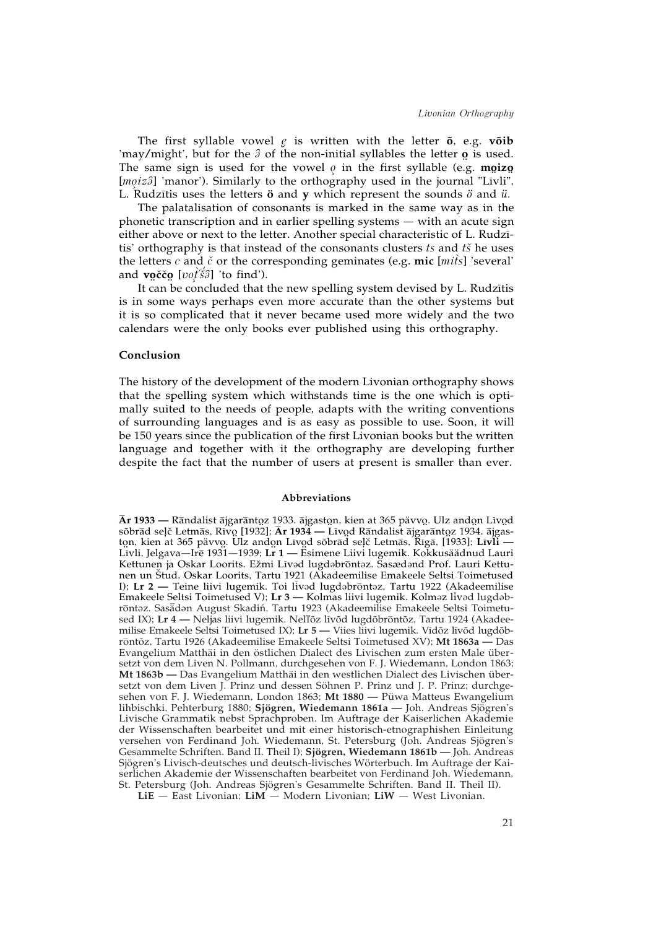The first syllable vowel *≠e* is written with the letter **õ**, e.g. **võib** 'may/might', but for the  $\hat{\beta}$  of the non-initial syllables the letter **o** is used.<br>The same sign is used for the vougle in the first syllable (e.g. moize The same sign is used for the vowel  $\varrho$  in the first syllable (e.g. **mgizg**  $\text{[meis3]}$  'manor'). Similarly to the orthorough used in the journal "Livili" [moiz<sup>3</sup>] 'manor'). Similarly to the orthography used in the journal "Līvli", L. Rudzītis uses the letters  $\ddot{\text{o}}$  and  $\text{y}$  which represent the sounds  $\ddot{o}$  and  $\ddot{u}$ .

The palatalisation of consonants is marked in the same way as in the phonetic transcription and in earlier spelling systems — with an acute sign either above or next to the letter. Another special characteristic of L. Rudzītis' orthography is that instead of the consonants clusters *ts* and *tš* he uses the letters  $c$  and  $\check{c}$  or the corresponding geminates (e.g. mic [ $m\hat{i}s$ ] 'several' and **v oçcçc o** [*vo≥^ tÍç s»˝*] 'to find'). *É*

¥ ¥ It can be concluded that the new spelling system devised by L. Rudzītis is in some ways perhaps even more accurate than the other systems but it is so complicated that it never became used more widely and the two calendars were the only books ever published using this orthography.

### **Conclusion**

The history of the development of the modern Livonian orthography shows that the spelling system which withstands time is the one which is optimally suited to the needs of people, adapts with the writing conventions of surrounding languages and is as easy as possible to use. Soon, it will be 150 years since the publication of the first Livonian books but the written language and together with it the orthography are developing further despite the fact that the number of users at present is smaller than ever.

#### **Abbreviations**

<sup>&</sup>lt;mark>Ār 1933 —</mark> Rāndalist ājgarāntoz 1933. ājgaston, kien at 365 pävvo. Ulz andon Līvod<br>sõbrād selč Letmās, Rīvo [1932]: **Ār 1934 —** Līvod Rāndalist ājgarāntoz 1934. ājgason, kien at 365 pävvo. Ulz and<br>Līvod Rāndalist ājgarāntoz 193 sõbrād seļč Letmās, Rivo [1932]; **Ār 1934 —** Līvod Rāndalist ājgarāntoz 1934. ājgas-<br>ton, kien at 365 päyvo. Ulz andon Līvod sõbrād selč Letmās, Rīgā, [1933]: Lī**vli** ton, kien at 365 pävvo. Ulz andon Līvod sõbrād seļč Letmās, Rīgā, [1933]; **Līvli —**<br>Līvli Jelgava—Irē 1931—1939<sup>.</sup> Lr 1 — Esimene Liivi lugemik. Kokkusäädnud Lauri ¥ Livli, Jelgava—Ire 1931—1939; **Lr 1** — Esimene Liivi lugemik. Kokkusäädnud Lauri Kettunen ja Oskar Loorits. Ežmi Līvad lugdabrontaz. Šasædand Prof. Lauri Kettunen un ç Stud. Oskar Loorits, Tartu 1921 (Akadeemilise Emakeele Seltsi Toimetused I); Lr 2 — Teine liivi lugemik. Toi livad lugdabrontaz, Tartu 1922 (Akadeemilise Emakeele Seltsi Toimetused V); Lr 3 — Kolmas liivi lugemik. Kolməz livəd lugdəbrōntəz. Sasädən August Skadiń, Tartu 1923 (Akadeemilise Emakeele Seltsi Toimetused IX); Lr 4 — Neljas liivi lugemik. Nel'lõz līvõd lugdõbrontõz, Tartu 1924 (Akadeemilise Emakeele Seltsi Toimetused IX); Lr 5 — Viies liivi lugemik. Vidõz livõd lugdõbrontõz, Tartu 1926 (Akadeemilise Emakeele Seltsi Toimetused XV); Mt 1863a - Das Evangelium Matthäi in den östlichen Dialect des Livischen zum ersten Male übersetzt von dem Liven N. Pollmann, durchgesehen von F. J. Wiedemann, London 1863; **Mt 1863b —** Das Evangelium Matthäi in den westlichen Dialect des Livischen übersetzt von dem Liven J. Prinz und dessen Söhnen P. Prinz und J. P. Prinz; durchgesehen von F. J. Wiedemann, London 1863; **Mt 1880 —** Püwa Matteus Ewangelium lihbischki, Pehterburg 1880; **Sjögren, Wiedemann 1861a —** Joh. Andreas Sjögren's Livische Grammatik nebst Sprachproben. Im Auftrage der Kaiserlichen Akademie der Wissenschaften bearbeitet und mit einer historisch-etnographishen Einleitung versehen von Ferdinand Joh. Wiedemann, St. Petersburg (Joh. Andreas Sjögren's Gesammelte Schriften. Band II. Theil I); **Sjögren, Wiedemann 1861b —** Joh. Andreas Sjögren's Livisch-deutsches und deutsch-livisches Wörterbuch. Im Auftrage der Kaiserlichen Akademie der Wissenschaften bearbeitet von Ferdinand Joh. Wiedemann, St. Petersburg (Joh. Andreas Sjögren's Gesammelte Schriften. Band II. Theil II).

**LiE** — East Livonian; **LiM** — Modern Livonian; **LiW** — West Livonian.